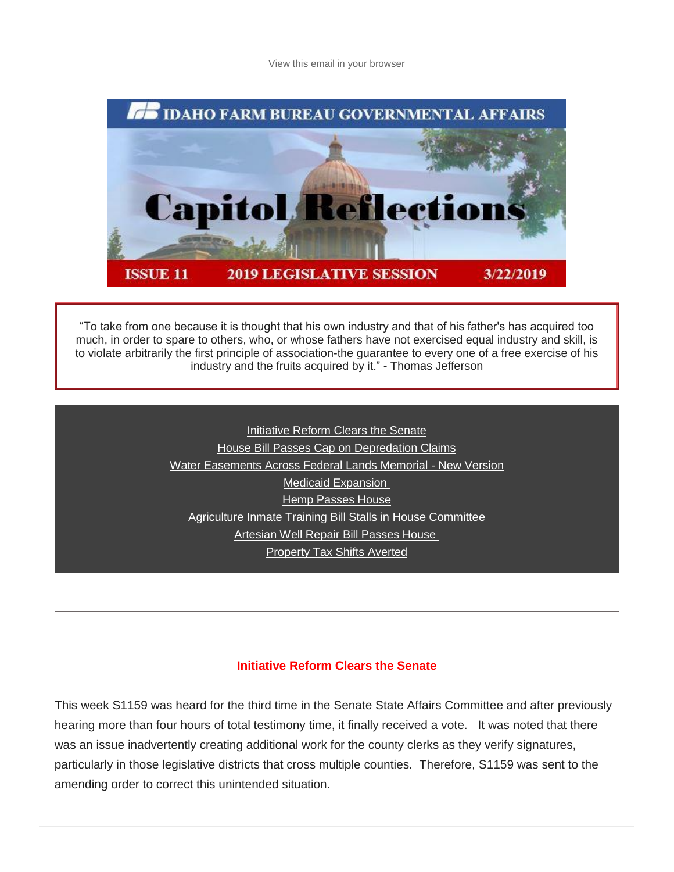[View this email in your browser](https://mailchi.mp/idahofb.org/capitol-reflections-issue-11?e=a4ab29d1bd)



"To take from one because it is thought that his own industry and that of his father's has acquired too much, in order to spare to others, who, or whose fathers have not exercised equal industry and skill, is to violate arbitrarily the first principle of association-the guarantee to every one of a free exercise of his industry and the fruits acquired by it." - Thomas Jefferson

> [Initiative Reform Clears the Senate](https://mailchi.mp/idahofb.org/capitol-reflections-issue-11?e=a4ab29d1bd#Init.%20Reform) [House Bill Passes Cap on Depredation Claims](https://mailchi.mp/idahofb.org/capitol-reflections-issue-11?e=a4ab29d1bd#House%20Com) [Water Easements Across Federal Lands Memorial -](https://mailchi.mp/idahofb.org/capitol-reflections-issue-11?e=a4ab29d1bd#Water%20Ease) New Version [Medicaid Expansion](https://mailchi.mp/idahofb.org/capitol-reflections-issue-11?e=a4ab29d1bd#Medicaid) [Hemp Passes House](https://mailchi.mp/idahofb.org/capitol-reflections-issue-11?e=a4ab29d1bd#Hemp) [Agriculture Inmate Training Bill Stalls in House Committee](https://mailchi.mp/idahofb.org/capitol-reflections-issue-11?e=a4ab29d1bd#Inmate%20Train) [Artesian Well Repair Bill Passes House](https://mailchi.mp/idahofb.org/capitol-reflections-issue-11?e=a4ab29d1bd#Art%20Well%20Repair) [Property Tax Shifts Averted](https://mailchi.mp/idahofb.org/capitol-reflections-issue-11?e=a4ab29d1bd#Prop%20Tax)

#### **Initiative Reform Clears the Senate**

This week S1159 was heard for the third time in the Senate State Affairs Committee and after previously hearing more than four hours of total testimony time, it finally received a vote. It was noted that there was an issue inadvertently creating additional work for the county clerks as they verify signatures, particularly in those legislative districts that cross multiple counties. Therefore, S1159 was sent to the amending order to correct this unintended situation.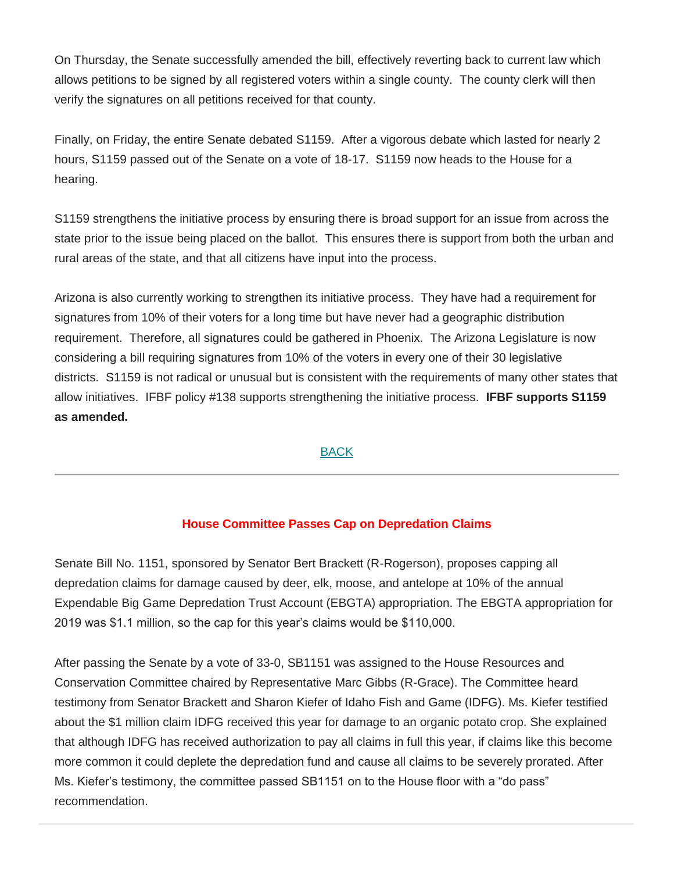On Thursday, the Senate successfully amended the bill, effectively reverting back to current law which allows petitions to be signed by all registered voters within a single county. The county clerk will then verify the signatures on all petitions received for that county.

Finally, on Friday, the entire Senate debated S1159. After a vigorous debate which lasted for nearly 2 hours, S1159 passed out of the Senate on a vote of 18-17. S1159 now heads to the House for a hearing.

S1159 strengthens the initiative process by ensuring there is broad support for an issue from across the state prior to the issue being placed on the ballot. This ensures there is support from both the urban and rural areas of the state, and that all citizens have input into the process.

Arizona is also currently working to strengthen its initiative process. They have had a requirement for signatures from 10% of their voters for a long time but have never had a geographic distribution requirement. Therefore, all signatures could be gathered in Phoenix. The Arizona Legislature is now considering a bill requiring signatures from 10% of the voters in every one of their 30 legislative districts. S1159 is not radical or unusual but is consistent with the requirements of many other states that allow initiatives. IFBF policy #138 supports strengthening the initiative process. **IFBF supports S1159 as amended.**

#### [BACK](https://mailchi.mp/idahofb.org/capitol-reflections-issue-11?e=a4ab29d1bd#Navigation)

#### **House Committee Passes Cap on Depredation Claims**

Senate Bill No. 1151, sponsored by Senator Bert Brackett (R-Rogerson), proposes capping all depredation claims for damage caused by deer, elk, moose, and antelope at 10% of the annual Expendable Big Game Depredation Trust Account (EBGTA) appropriation. The EBGTA appropriation for 2019 was \$1.1 million, so the cap for this year's claims would be \$110,000.

After passing the Senate by a vote of 33-0, SB1151 was assigned to the House Resources and Conservation Committee chaired by Representative Marc Gibbs (R-Grace). The Committee heard testimony from Senator Brackett and Sharon Kiefer of Idaho Fish and Game (IDFG). Ms. Kiefer testified about the \$1 million claim IDFG received this year for damage to an organic potato crop. She explained that although IDFG has received authorization to pay all claims in full this year, if claims like this become more common it could deplete the depredation fund and cause all claims to be severely prorated. After Ms. Kiefer's testimony, the committee passed SB1151 on to the House floor with a "do pass" recommendation.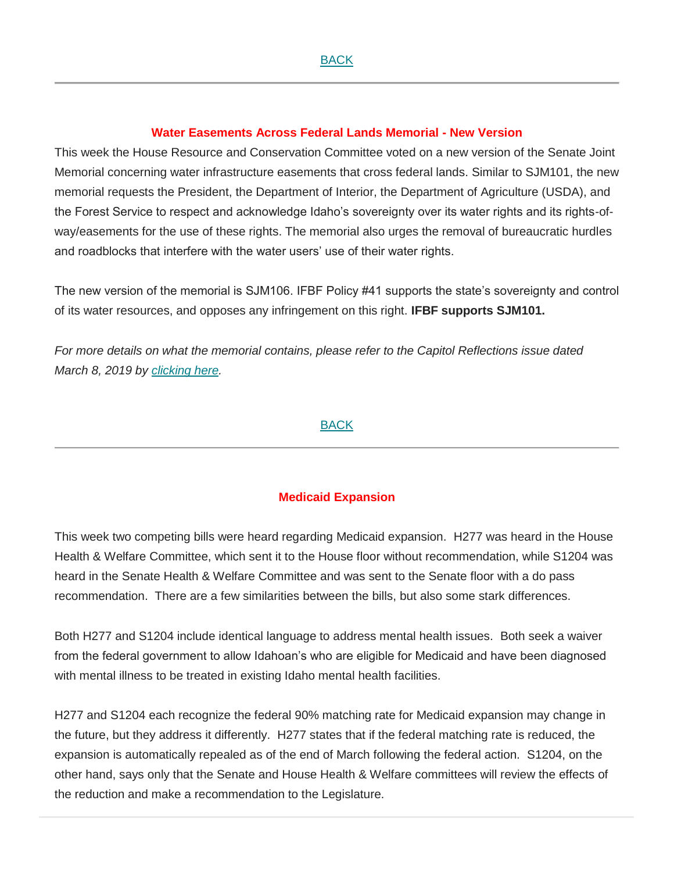#### **Water Easements Across Federal Lands Memorial - New Version**

This week the House Resource and Conservation Committee voted on a new version of the Senate Joint Memorial concerning water infrastructure easements that cross federal lands. Similar to SJM101, the new memorial requests the President, the Department of Interior, the Department of Agriculture (USDA), and the Forest Service to respect and acknowledge Idaho's sovereignty over its water rights and its rights-ofway/easements for the use of these rights. The memorial also urges the removal of bureaucratic hurdles and roadblocks that interfere with the water users' use of their water rights.

The new version of the memorial is SJM106. IFBF Policy #41 supports the state's sovereignty and control of its water resources, and opposes any infringement on this right. **IFBF supports SJM101.**

*For more details on what the memorial contains, please refer to the Capitol Reflections issue dated March 8, 2019 by [clicking here.](https://www.idahofb.org/capitol-reflections)*

#### [BACK](https://mailchi.mp/idahofb.org/capitol-reflections-issue-11?e=a4ab29d1bd#Navigation)

#### **Medicaid Expansion**

This week two competing bills were heard regarding Medicaid expansion. H277 was heard in the House Health & Welfare Committee, which sent it to the House floor without recommendation, while S1204 was heard in the Senate Health & Welfare Committee and was sent to the Senate floor with a do pass recommendation. There are a few similarities between the bills, but also some stark differences.

Both H277 and S1204 include identical language to address mental health issues. Both seek a waiver from the federal government to allow Idahoan's who are eligible for Medicaid and have been diagnosed with mental illness to be treated in existing Idaho mental health facilities.

H277 and S1204 each recognize the federal 90% matching rate for Medicaid expansion may change in the future, but they address it differently. H277 states that if the federal matching rate is reduced, the expansion is automatically repealed as of the end of March following the federal action. S1204, on the other hand, says only that the Senate and House Health & Welfare committees will review the effects of the reduction and make a recommendation to the Legislature.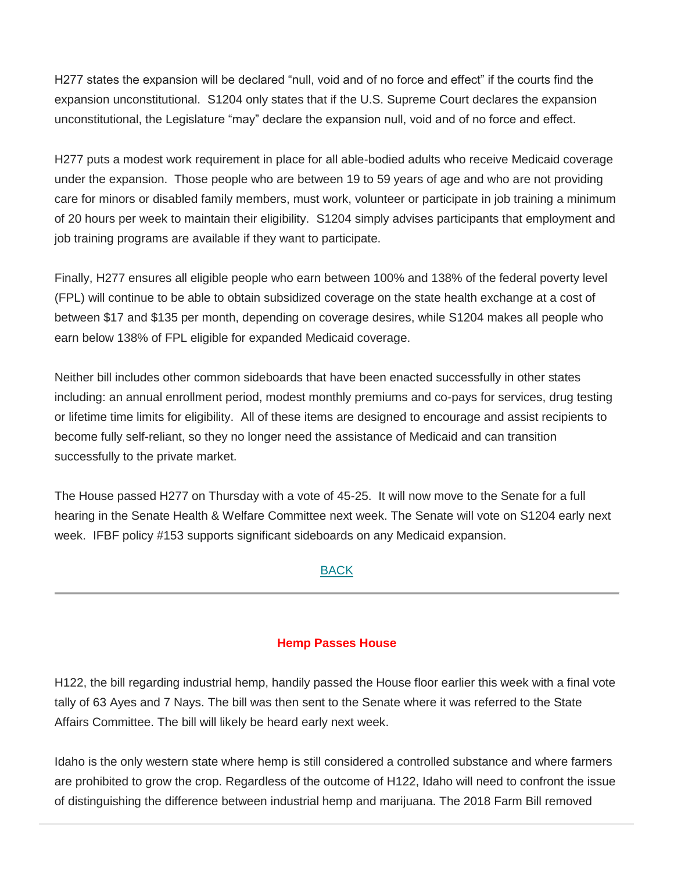H277 states the expansion will be declared "null, void and of no force and effect" if the courts find the expansion unconstitutional. S1204 only states that if the U.S. Supreme Court declares the expansion unconstitutional, the Legislature "may" declare the expansion null, void and of no force and effect.

H277 puts a modest work requirement in place for all able-bodied adults who receive Medicaid coverage under the expansion. Those people who are between 19 to 59 years of age and who are not providing care for minors or disabled family members, must work, volunteer or participate in job training a minimum of 20 hours per week to maintain their eligibility. S1204 simply advises participants that employment and job training programs are available if they want to participate.

Finally, H277 ensures all eligible people who earn between 100% and 138% of the federal poverty level (FPL) will continue to be able to obtain subsidized coverage on the state health exchange at a cost of between \$17 and \$135 per month, depending on coverage desires, while S1204 makes all people who earn below 138% of FPL eligible for expanded Medicaid coverage.

Neither bill includes other common sideboards that have been enacted successfully in other states including: an annual enrollment period, modest monthly premiums and co-pays for services, drug testing or lifetime time limits for eligibility. All of these items are designed to encourage and assist recipients to become fully self-reliant, so they no longer need the assistance of Medicaid and can transition successfully to the private market.

The House passed H277 on Thursday with a vote of 45-25. It will now move to the Senate for a full hearing in the Senate Health & Welfare Committee next week. The Senate will vote on S1204 early next week. IFBF policy #153 supports significant sideboards on any Medicaid expansion.

### [BACK](https://mailchi.mp/idahofb.org/capitol-reflections-issue-11?e=a4ab29d1bd#Navigation)

#### **Hemp Passes House**

H122, the bill regarding industrial hemp, handily passed the House floor earlier this week with a final vote tally of 63 Ayes and 7 Nays. The bill was then sent to the Senate where it was referred to the State Affairs Committee. The bill will likely be heard early next week.

Idaho is the only western state where hemp is still considered a controlled substance and where farmers are prohibited to grow the crop. Regardless of the outcome of H122, Idaho will need to confront the issue of distinguishing the difference between industrial hemp and marijuana. The 2018 Farm Bill removed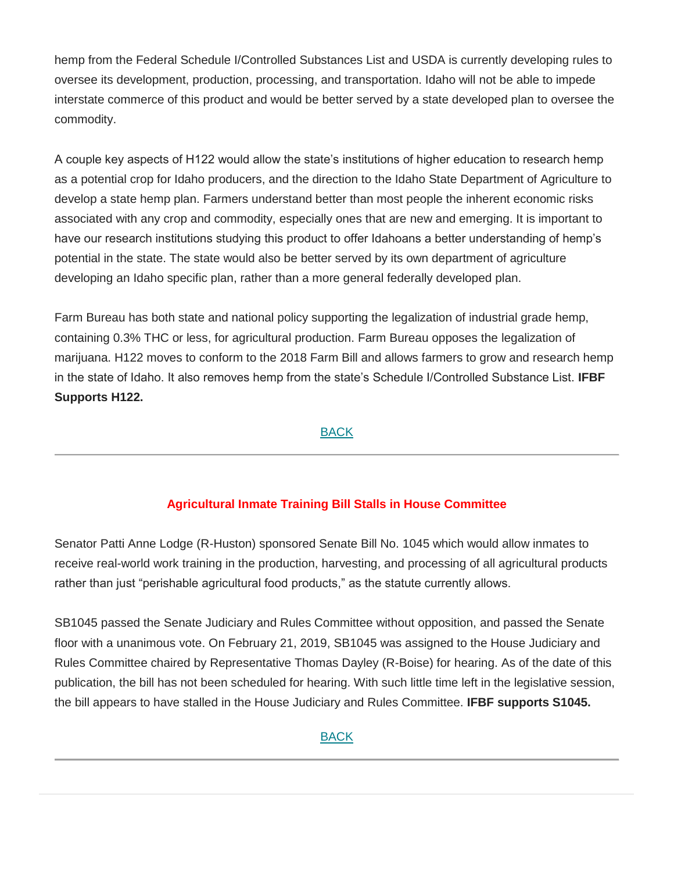hemp from the Federal Schedule I/Controlled Substances List and USDA is currently developing rules to oversee its development, production, processing, and transportation. Idaho will not be able to impede interstate commerce of this product and would be better served by a state developed plan to oversee the commodity.

A couple key aspects of H122 would allow the state's institutions of higher education to research hemp as a potential crop for Idaho producers, and the direction to the Idaho State Department of Agriculture to develop a state hemp plan. Farmers understand better than most people the inherent economic risks associated with any crop and commodity, especially ones that are new and emerging. It is important to have our research institutions studying this product to offer Idahoans a better understanding of hemp's potential in the state. The state would also be better served by its own department of agriculture developing an Idaho specific plan, rather than a more general federally developed plan.

Farm Bureau has both state and national policy supporting the legalization of industrial grade hemp, containing 0.3% THC or less, for agricultural production. Farm Bureau opposes the legalization of marijuana. H122 moves to conform to the 2018 Farm Bill and allows farmers to grow and research hemp in the state of Idaho. It also removes hemp from the state's Schedule I/Controlled Substance List. **IFBF Supports H122.** 

### [BACK](https://mailchi.mp/idahofb.org/capitol-reflections-issue-11?e=a4ab29d1bd#Navigation)

# **Agricultural Inmate Training Bill Stalls in House Committee**

Senator Patti Anne Lodge (R-Huston) sponsored Senate Bill No. 1045 which would allow inmates to receive real-world work training in the production, harvesting, and processing of all agricultural products rather than just "perishable agricultural food products," as the statute currently allows.

SB1045 passed the Senate Judiciary and Rules Committee without opposition, and passed the Senate floor with a unanimous vote. On February 21, 2019, SB1045 was assigned to the House Judiciary and Rules Committee chaired by Representative Thomas Dayley (R-Boise) for hearing. As of the date of this publication, the bill has not been scheduled for hearing. With such little time left in the legislative session, the bill appears to have stalled in the House Judiciary and Rules Committee. **IFBF supports S1045.**

#### [BACK](https://mailchi.mp/idahofb.org/capitol-reflections-issue-11?e=a4ab29d1bd#Navigation)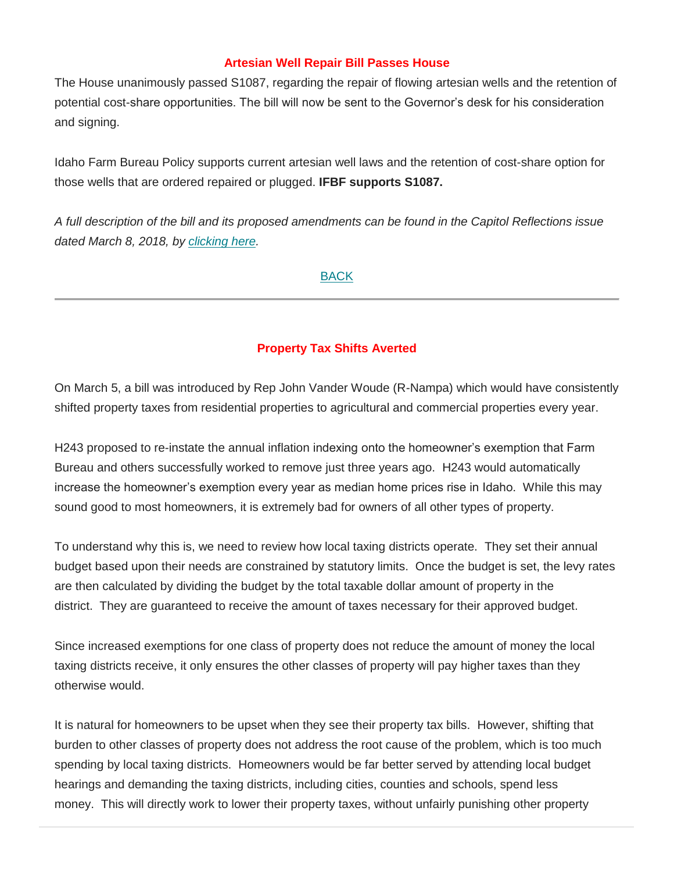#### **Artesian Well Repair Bill Passes House**

The House unanimously passed S1087, regarding the repair of flowing artesian wells and the retention of potential cost-share opportunities. The bill will now be sent to the Governor's desk for his consideration and signing.

Idaho Farm Bureau Policy supports current artesian well laws and the retention of cost-share option for those wells that are ordered repaired or plugged. **IFBF supports S1087.**

*A full description of the bill and its proposed amendments can be found in the Capitol Reflections issue dated March 8, 2018, by [clicking here.](https://www.idahofb.org/capitol-reflections)*

#### [BACK](https://mailchi.mp/idahofb.org/capitol-reflections-issue-11?e=a4ab29d1bd#Navigation)

## **Property Tax Shifts Averted**

On March 5, a bill was introduced by Rep John Vander Woude (R-Nampa) which would have consistently shifted property taxes from residential properties to agricultural and commercial properties every year.

H243 proposed to re-instate the annual inflation indexing onto the homeowner's exemption that Farm Bureau and others successfully worked to remove just three years ago. H243 would automatically increase the homeowner's exemption every year as median home prices rise in Idaho. While this may sound good to most homeowners, it is extremely bad for owners of all other types of property.

To understand why this is, we need to review how local taxing districts operate. They set their annual budget based upon their needs are constrained by statutory limits. Once the budget is set, the levy rates are then calculated by dividing the budget by the total taxable dollar amount of property in the district. They are guaranteed to receive the amount of taxes necessary for their approved budget.

Since increased exemptions for one class of property does not reduce the amount of money the local taxing districts receive, it only ensures the other classes of property will pay higher taxes than they otherwise would.

It is natural for homeowners to be upset when they see their property tax bills. However, shifting that burden to other classes of property does not address the root cause of the problem, which is too much spending by local taxing districts. Homeowners would be far better served by attending local budget hearings and demanding the taxing districts, including cities, counties and schools, spend less money. This will directly work to lower their property taxes, without unfairly punishing other property